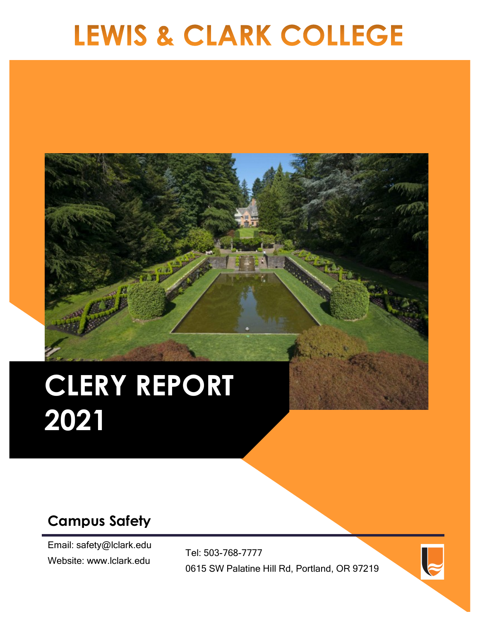# **LEWIS & CLARK COLLEGE**

# **CLERY REPORT 2021**

# **Campus Safety**

Email: safety@lclark.edu Website: www.lclark.edu

Tel: 503-768-7777 0615 SW Palatine Hill Rd, Portland, OR 97219

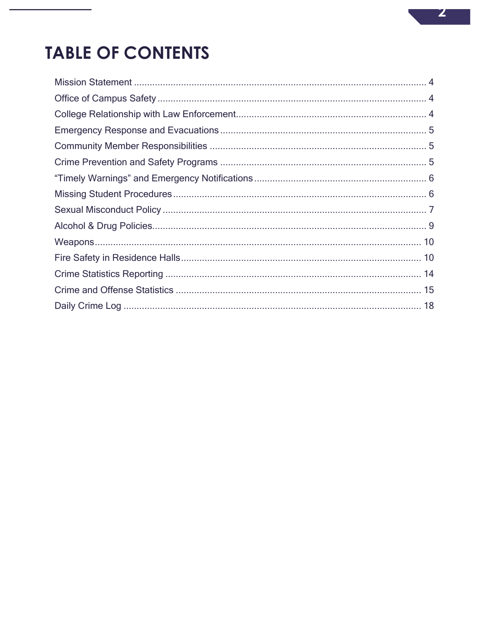# **TABLE OF CONTENTS**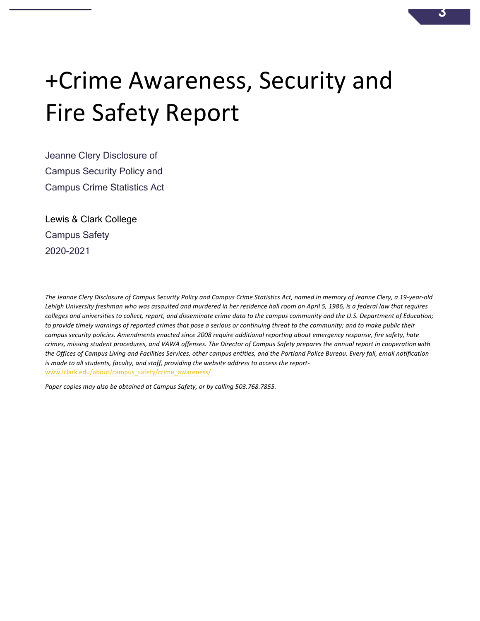# +Crime Awareness, Security and Fire Safety Report

Jeanne Clery Disclosure of Campus Security Policy and Campus Crime Statistics Act

Lewis & Clark College Campus Safety 2020-2021

The Jeanne Clery Disclosure of Campus Security Policy and Campus Crime Statistics Act, named in memory of Jeanne Clery, a 19-year-old Lehigh University freshman who was assaulted and murdered in her residence hall room on April 5, 1986, is a federal law that requires colleges and universities to collect, report, and disseminate crime data to the campus community and the U.S. Department of Education; to provide timely warnings of reported crimes that pose a serious or continuing threat to the community; and to make public their campus security policies. Amendments enacted since 2008 require additional reporting about emergency response, fire safety, hate crimes, missing student procedures, and VAWA offenses. The Director of Campus Safety prepares the annual report in cooperation with the Offices of Campus Living and Facilities Services, other campus entities, and the Portland Police Bureau. Every fall, email notification is made to all students, faculty, and staff, providing the website address to access the reportwww.lclark.edu/about/campus\_safety/crime\_awareness/

Paper copies may also be obtained at Campus Safety, or by calling 503.768.7855.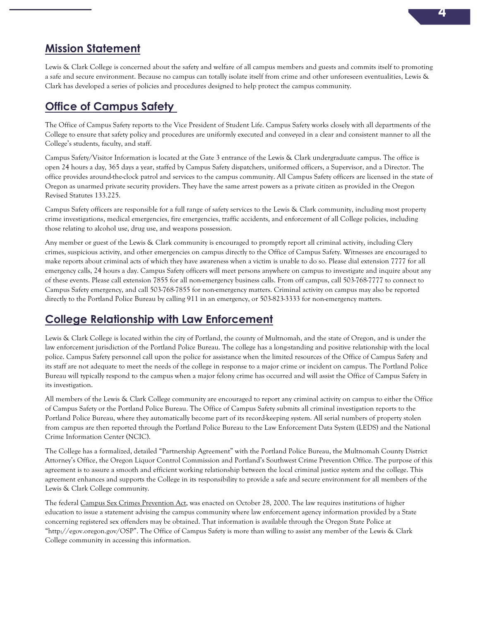# **Mission Statement**

Lewis & Clark College is concerned about the safety and welfare of all campus members and guests and commits itself to promoting a safe and secure environment. Because no campus can totally isolate itself from crime and other unforeseen eventualities, Lewis & Clark has developed a series of policies and procedures designed to help protect the campus community.

# **Office of Campus Safety**

The Office of Campus Safety reports to the Vice President of Student Life. Campus Safety works closely with all departments of the College to ensure that safety policy and procedures are uniformly executed and conveyed in a clear and consistent manner to all the College's students, faculty, and staff.

Campus Safety/Visitor Information is located at the Gate 3 entrance of the Lewis & Clark undergraduate campus. The office is open 24 hours a day, 365 days a year, staffed by Campus Safety dispatchers, uniformed officers, a Supervisor, and a Director. The office provides around-the-clock patrol and services to the campus community. All Campus Safety officers are licensed in the state of Oregon as unarmed private security providers. They have the same arrest powers as a private citizen as provided in the Oregon Revised Statutes 133.225.

Campus Safety officers are responsible for a full range of safety services to the Lewis & Clark community, including most property crime investigations, medical emergencies, fire emergencies, traffic accidents, and enforcement of all College policies, including those relating to alcohol use, drug use, and weapons possession.

Any member or guest of the Lewis & Clark community is encouraged to promptly report all criminal activity, including Clery crimes, suspicious activity, and other emergencies on campus directly to the Office of Campus Safety. Witnesses are encouraged to make reports about criminal acts of which they have awareness when a victim is unable to do so. Please dial extension 7777 for all emergency calls, 24 hours a day. Campus Safety officers will meet persons anywhere on campus to investigate and inquire about any of these events. Please call extension 7855 for all non-emergency business calls. From off campus, call 503-768-7777 to connect to Campus Safety emergency, and call 503-768-7855 for non-emergency matters. Criminal activity on campus may also be reported directly to the Portland Police Bureau by calling 911 in an emergency, or 503-823-3333 for non-emergency matters.

# **College Relationship with Law Enforcement**

Lewis & Clark College is located within the city of Portland, the county of Multnomah, and the state of Oregon, and is under the law enforcement jurisdiction of the Portland Police Bureau. The college has a long-standing and positive relationship with the local police. Campus Safety personnel call upon the police for assistance when the limited resources of the Office of Campus Safety and its staff are not adequate to meet the needs of the college in response to a major crime or incident on campus. The Portland Police Bureau will typically respond to the campus when a major felony crime has occurred and will assist the Office of Campus Safety in its investigation.

All members of the Lewis & Clark College community are encouraged to report any criminal activity on campus to either the Office of Campus Safety or the Portland Police Bureau. The Office of Campus Safety submits all criminal investigation reports to the Portland Police Bureau, where they automatically become part of its record-keeping system. All serial numbers of property stolen from campus are then reported through the Portland Police Bureau to the Law Enforcement Data System (LEDS) and the National Crime Information Center (NCIC).

The College has a formalized, detailed "Partnership Agreement" with the Portland Police Bureau, the Multnomah County District Attorney's Office, the Oregon Liquor Control Commission and Portland's Southwest Crime Prevention Office. The purpose of this agreement is to assure a smooth and efficient working relationship between the local criminal justice system and the college. This agreement enhances and supports the College in its responsibility to provide a safe and secure environment for all members of the Lewis & Clark College community.

The federal Campus Sex Crimes Prevention Act, was enacted on October 28, 2000. The law requires institutions of higher education to issue a statement advising the campus community where law enforcement agency information provided by a State concerning registered sex offenders may be obtained. That information is available through the Oregon State Police at "http://egov.oregon.gov/OSP". The Office of Campus Safety is more than willing to assist any member of the Lewis & Clark College community in accessing this information.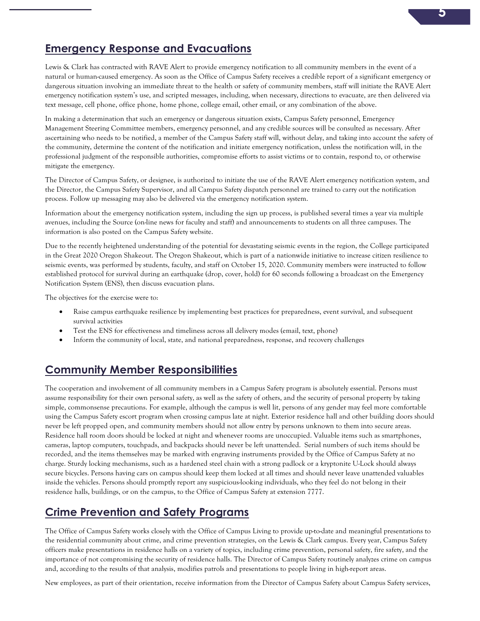

### **Emergency Response and Evacuations**

Lewis & Clark has contracted with RAVE Alert to provide emergency notification to all community members in the event of a natural or human-caused emergency. As soon as the Office of Campus Safety receives a credible report of a significant emergency or dangerous situation involving an immediate threat to the health or safety of community members, staff will initiate the RAVE Alert emergency notification system's use, and scripted messages, including, when necessary, directions to evacuate, are then delivered via text message, cell phone, office phone, home phone, college email, other email, or any combination of the above.

In making a determination that such an emergency or dangerous situation exists, Campus Safety personnel, Emergency Management Steering Committee members, emergency personnel, and any credible sources will be consulted as necessary. After ascertaining who needs to be notified, a member of the Campus Safety staff will, without delay, and taking into account the safety of the community, determine the content of the notification and initiate emergency notification, unless the notification will, in the professional judgment of the responsible authorities, compromise efforts to assist victims or to contain, respond to, or otherwise mitigate the emergency.

The Director of Campus Safety, or designee, is authorized to initiate the use of the RAVE Alert emergency notification system, and the Director, the Campus Safety Supervisor, and all Campus Safety dispatch personnel are trained to carry out the notification process. Follow up messaging may also be delivered via the emergency notification system.

Information about the emergency notification system, including the sign up process, is published several times a year via multiple avenues, including the Source (on-line news for faculty and staff) and announcements to students on all three campuses. The information is also posted on the Campus Safety website.

Due to the recently heightened understanding of the potential for devastating seismic events in the region, the College participated in the Great 2020 Oregon Shakeout. The Oregon Shakeout, which is part of a nationwide initiative to increase citizen resilience to seismic events, was performed by students, faculty, and staff on October 15, 2020. Community members were instructed to follow established protocol for survival during an earthquake (drop, cover, hold) for 60 seconds following a broadcast on the Emergency Notification System (ENS), then discuss evacuation plans.

The objectives for the exercise were to:

- Raise campus earthquake resilience by implementing best practices for preparedness, event survival, and subsequent survival activities
- Test the ENS for effectiveness and timeliness across all delivery modes (email, text, phone)
- Inform the community of local, state, and national preparedness, response, and recovery challenges

# **Community Member Responsibilities**

The cooperation and involvement of all community members in a Campus Safety program is absolutely essential. Persons must assume responsibility for their own personal safety, as well as the safety of others, and the security of personal property by taking simple, commonsense precautions. For example, although the campus is well lit, persons of any gender may feel more comfortable using the Campus Safety escort program when crossing campus late at night. Exterior residence hall and other building doors should never be left propped open, and community members should not allow entry by persons unknown to them into secure areas. Residence hall room doors should be locked at night and whenever rooms are unoccupied. Valuable items such as smartphones, cameras, laptop computers, touchpads, and backpacks should never be left unattended. Serial numbers of such items should be recorded, and the items themselves may be marked with engraving instruments provided by the Office of Campus Safety at no charge. Sturdy locking mechanisms, such as a hardened steel chain with a strong padlock or a kryptonite U-Lock should always secure bicycles. Persons having cars on campus should keep them locked at all times and should never leave unattended valuables inside the vehicles. Persons should promptly report any suspicious-looking individuals, who they feel do not belong in their residence halls, buildings, or on the campus, to the Office of Campus Safety at extension 7777.

# **Crime Prevention and Safety Programs**

The Office of Campus Safety works closely with the Office of Campus Living to provide up-to-date and meaningful presentations to the residential community about crime, and crime prevention strategies, on the Lewis & Clark campus. Every year, Campus Safety officers make presentations in residence halls on a variety of topics, including crime prevention, personal safety, fire safety, and the importance of not compromising the security of residence halls. The Director of Campus Safety routinely analyzes crime on campus and, according to the results of that analysis, modifies patrols and presentations to people living in high-report areas.

New employees, as part of their orientation, receive information from the Director of Campus Safety about Campus Safety services,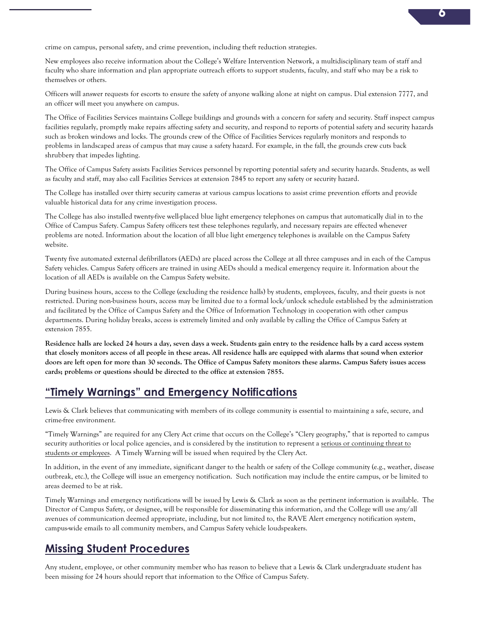crime on campus, personal safety, and crime prevention, including theft reduction strategies.

New employees also receive information about the College's Welfare Intervention Network, a multidisciplinary team of staff and faculty who share information and plan appropriate outreach efforts to support students, faculty, and staff who may be a risk to themselves or others.

Officers will answer requests for escorts to ensure the safety of anyone walking alone at night on campus. Dial extension 7777, and an officer will meet you anywhere on campus.

The Office of Facilities Services maintains College buildings and grounds with a concern for safety and security. Staff inspect campus facilities regularly, promptly make repairs affecting safety and security, and respond to reports of potential safety and security hazards such as broken windows and locks. The grounds crew of the Office of Facilities Services regularly monitors and responds to problems in landscaped areas of campus that may cause a safety hazard. For example, in the fall, the grounds crew cuts back shrubbery that impedes lighting.

The Office of Campus Safety assists Facilities Services personnel by reporting potential safety and security hazards. Students, as well as faculty and staff, may also call Facilities Services at extension 7845 to report any safety or security hazard.

The College has installed over thirty security cameras at various campus locations to assist crime prevention efforts and provide valuable historical data for any crime investigation process.

The College has also installed twenty-five well-placed blue light emergency telephones on campus that automatically dial in to the Office of Campus Safety. Campus Safety officers test these telephones regularly, and necessary repairs are effected whenever problems are noted. Information about the location of all blue light emergency telephones is available on the Campus Safety website.

Twenty five automated external defibrillators (AEDs) are placed across the College at all three campuses and in each of the Campus Safety vehicles. Campus Safety officers are trained in using AEDs should a medical emergency require it. Information about the location of all AEDs is available on the Campus Safety website.

During business hours, access to the College (excluding the residence halls) by students, employees, faculty, and their guests is not restricted. During non-business hours, access may be limited due to a formal lock/unlock schedule established by the administration and facilitated by the Office of Campus Safety and the Office of Information Technology in cooperation with other campus departments. During holiday breaks, access is extremely limited and only available by calling the Office of Campus Safety at extension 7855.

**Residence halls are locked 24 hours a day, seven days a week. Students gain entry to the residence halls by a card access system that closely monitors access of all people in these areas. All residence halls are equipped with alarms that sound when exterior doors are left open for more than 30 seconds. The Office of Campus Safety monitors these alarms. Campus Safety issues access cards; problems or questions should be directed to the office at extension 7855.**

#### **"Timely Warnings" and Emergency Notifications**

Lewis & Clark believes that communicating with members of its college community is essential to maintaining a safe, secure, and crime-free environment.

"Timely Warnings" are required for any Clery Act crime that occurs on the College's "Clery geography," that is reported to campus security authorities or local police agencies, and is considered by the institution to represent a serious or continuing threat to students or employees. A Timely Warning will be issued when required by the Clery Act.

In addition, in the event of any immediate, significant danger to the health or safety of the College community (e.g., weather, disease outbreak, etc.), the College will issue an emergency notification. Such notification may include the entire campus, or be limited to areas deemed to be at risk.

Timely Warnings and emergency notifications will be issued by Lewis & Clark as soon as the pertinent information is available. The Director of Campus Safety, or designee, will be responsible for disseminating this information, and the College will use any/all avenues of communication deemed appropriate, including, but not limited to, the RAVE Alert emergency notification system, campus-wide emails to all community members, and Campus Safety vehicle loudspeakers.

# **Missing Student Procedures**

Any student, employee, or other community member who has reason to believe that a Lewis & Clark undergraduate student has been missing for 24 hours should report that information to the Office of Campus Safety.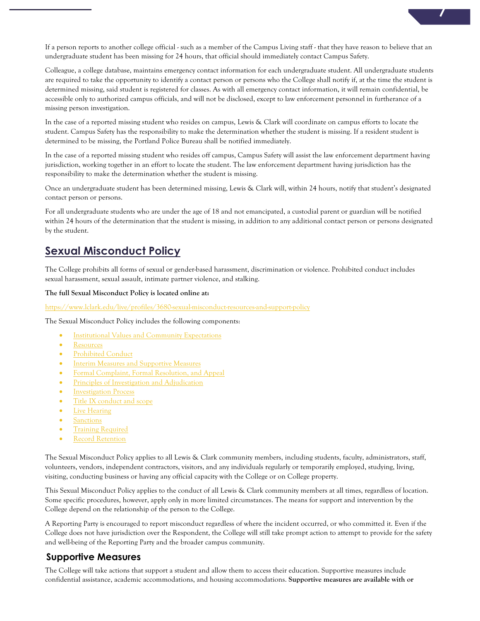If a person reports to another college official - such as a member of the Campus Living staff - that they have reason to believe that an undergraduate student has been missing for 24 hours, that official should immediately contact Campus Safety.

Colleague, a college database, maintains emergency contact information for each undergraduate student. All undergraduate students are required to take the opportunity to identify a contact person or persons who the College shall notify if, at the time the student is determined missing, said student is registered for classes. As with all emergency contact information, it will remain confidential, be accessible only to authorized campus officials, and will not be disclosed, except to law enforcement personnel in furtherance of a missing person investigation.

In the case of a reported missing student who resides on campus, Lewis & Clark will coordinate on campus efforts to locate the student. Campus Safety has the responsibility to make the determination whether the student is missing. If a resident student is determined to be missing, the Portland Police Bureau shall be notified immediately.

In the case of a reported missing student who resides off campus, Campus Safety will assist the law enforcement department having jurisdiction, working together in an effort to locate the student. The law enforcement department having jurisdiction has the responsibility to make the determination whether the student is missing.

Once an undergraduate student has been determined missing, Lewis & Clark will, within 24 hours, notify that student's designated contact person or persons.

For all undergraduate students who are under the age of 18 and not emancipated, a custodial parent or guardian will be notified within 24 hours of the determination that the student is missing, in addition to any additional contact person or persons designated by the student.

### **Sexual Misconduct Policy**

The College prohibits all forms of sexual or gender-based harassment, discrimination or violence. Prohibited conduct includes sexual harassment, sexual assault, intimate partner violence, and stalking.

#### **The full Sexual Misconduct Policy is located online at:**

https://www.lclark.edu/live/profiles/3680-sexual-misconduct-resources-and-support-policy

The Sexual Misconduct Policy includes the following components:

- Institutional Values and Community Expectations
- Resources
- Prohibited Conduct
- Interim Measures and Supportive Measures
- Formal Complaint, Formal Resolution, and Appeal
- Principles of Investigation and Adjudication
- Investigation Process
- Title IX conduct and scope
- Live Hearing
- **Sanctions**
- **Training Required**
- Record Retention

The Sexual Misconduct Policy applies to all Lewis & Clark community members, including students, faculty, administrators, staff, volunteers, vendors, independent contractors, visitors, and any individuals regularly or temporarily employed, studying, living, visiting, conducting business or having any official capacity with the College or on College property.

This Sexual Misconduct Policy applies to the conduct of all Lewis & Clark community members at all times, regardless of location. Some specific procedures, however, apply only in more limited circumstances. The means for support and intervention by the College depend on the relationship of the person to the College.

A Reporting Party is encouraged to report misconduct regardless of where the incident occurred, or who committed it. Even if the College does not have jurisdiction over the Respondent, the College will still take prompt action to attempt to provide for the safety and well-being of the Reporting Party and the broader campus community.

#### **Supportive Measures**

The College will take actions that support a student and allow them to access their education. Supportive measures include confidential assistance, academic accommodations, and housing accommodations. **Supportive measures are available with or**  **7**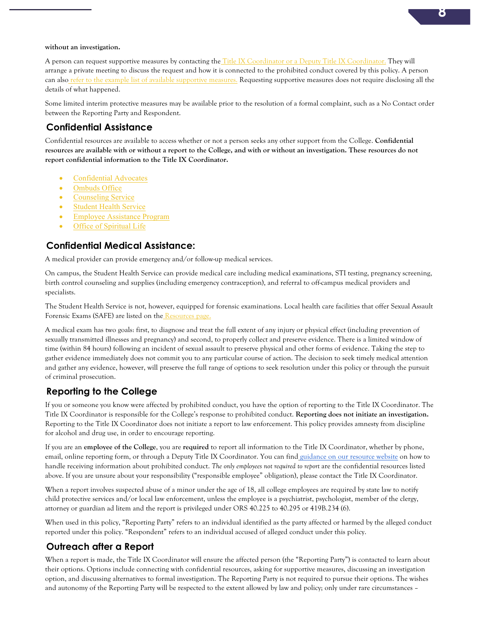#### **without an investigation.**

A person can request supportive measures by contacting the Title IX Coordinator or a Deputy Title IX Coordinator. They will arrange a private meeting to discuss the request and how it is connected to the prohibited conduct covered by this policy. A person can also refer to the example list of available supportive measures. Requesting supportive measures does not require disclosing all the details of what happened.

Some limited interim protective measures may be available prior to the resolution of a formal complaint, such as a No Contact order between the Reporting Party and Respondent.

#### **Confidential Assistance**

Confidential resources are available to access whether or not a person seeks any other support from the College. **Confidential resources are available with or without a report to the College, and with or without an investigation. These resources do not report confidential information to the Title IX Coordinator.**

- Confidential Advocates
- Ombuds Office
- Counseling Service
- Student Health Service
- Employee Assistance Program
- Office of Spiritual Life

#### **Confidential Medical Assistance:**

A medical provider can provide emergency and/or follow-up medical services.

On campus, the Student Health Service can provide medical care including medical examinations, STI testing, pregnancy screening, birth control counseling and supplies (including emergency contraception), and referral to off-campus medical providers and specialists.

The Student Health Service is not, however, equipped for forensic examinations. Local health care facilities that offer Sexual Assault Forensic Exams (SAFE) are listed on the Resources page.

A medical exam has two goals: first, to diagnose and treat the full extent of any injury or physical effect (including prevention of sexually transmitted illnesses and pregnancy) and second, to properly collect and preserve evidence. There is a limited window of time (within 84 hours) following an incident of sexual assault to preserve physical and other forms of evidence. Taking the step to gather evidence immediately does not commit you to any particular course of action. The decision to seek timely medical attention and gather any evidence, however, will preserve the full range of options to seek resolution under this policy or through the pursuit of criminal prosecution.

#### **Reporting to the College**

If you or someone you know were affected by prohibited conduct, you have the option of reporting to the Title IX Coordinator. The Title IX Coordinator is responsible for the College's response to prohibited conduct. **Reporting does not initiate an investigation.** Reporting to the Title IX Coordinator does not initiate a report to law enforcement. This policy provides amnesty from discipline for alcohol and drug use, in order to encourage reporting.

If you are an **employee of the College**, you are **required** to report all information to the Title IX Coordinator, whether by phone, email, online reporting form, or through a Deputy Title IX Coordinator. You can find guidance on our resource website on how to handle receiving information about prohibited conduct. *The only employees not required to report* are the confidential resources listed above. If you are unsure about your responsibility ("responsible employee" obligation), please contact the Title IX Coordinator.

When a report involves suspected abuse of a minor under the age of 18, all college employees are required by state law to notify child protective services and/or local law enforcement, unless the employee is a psychiatrist, psychologist, member of the clergy, attorney or guardian ad litem and the report is privileged under ORS 40.225 to 40.295 or 419B.234 (6).

When used in this policy, "Reporting Party" refers to an individual identified as the party affected or harmed by the alleged conduct reported under this policy. "Respondent" refers to an individual accused of alleged conduct under this policy.

#### **Outreach after a Report**

When a report is made, the Title IX Coordinator will ensure the affected person (the "Reporting Party") is contacted to learn about their options. Options include connecting with confidential resources, asking for supportive measures, discussing an investigation option, and discussing alternatives to formal investigation. The Reporting Party is not required to pursue their options. The wishes and autonomy of the Reporting Party will be respected to the extent allowed by law and policy; only under rare circumstances –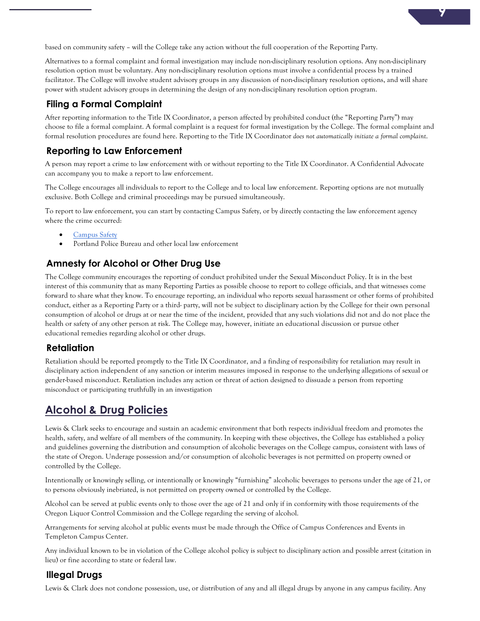based on community safety – will the College take any action without the full cooperation of the Reporting Party.

Alternatives to a formal complaint and formal investigation may include non-disciplinary resolution options. Any non-disciplinary resolution option must be voluntary. Any non-disciplinary resolution options must involve a confidential process by a trained facilitator. The College will involve student advisory groups in any discussion of non-disciplinary resolution options, and will share power with student advisory groups in determining the design of any non-disciplinary resolution option program.

#### **Filing a Formal Complaint**

After reporting information to the Title IX Coordinator, a person affected by prohibited conduct (the "Reporting Party") may choose to file a formal complaint. A formal complaint is a request for formal investigation by the College. The formal complaint and formal resolution procedures are found here. Reporting to the Title IX Coordinator *does not automatically initiate a formal complaint*.

#### **Reporting to Law Enforcement**

A person may report a crime to law enforcement with or without reporting to the Title IX Coordinator. A Confidential Advocate can accompany you to make a report to law enforcement.

The College encourages all individuals to report to the College and to local law enforcement. Reporting options are not mutually exclusive. Both College and criminal proceedings may be pursued simultaneously.

To report to law enforcement, you can start by contacting Campus Safety, or by directly contacting the law enforcement agency where the crime occurred:

- Campus Safety
- Portland Police Bureau and other local law enforcement

#### **Amnesty for Alcohol or Other Drug Use**

The College community encourages the reporting of conduct prohibited under the Sexual Misconduct Policy. It is in the best interest of this community that as many Reporting Parties as possible choose to report to college officials, and that witnesses come forward to share what they know. To encourage reporting, an individual who reports sexual harassment or other forms of prohibited conduct, either as a Reporting Party or a third- party, will not be subject to disciplinary action by the College for their own personal consumption of alcohol or drugs at or near the time of the incident, provided that any such violations did not and do not place the health or safety of any other person at risk. The College may, however, initiate an educational discussion or pursue other educational remedies regarding alcohol or other drugs.

#### **Retaliation**

Retaliation should be reported promptly to the Title IX Coordinator, and a finding of responsibility for retaliation may result in disciplinary action independent of any sanction or interim measures imposed in response to the underlying allegations of sexual or gender-based misconduct. Retaliation includes any action or threat of action designed to dissuade a person from reporting misconduct or participating truthfully in an investigation

# **Alcohol & Drug Policies**

Lewis & Clark seeks to encourage and sustain an academic environment that both respects individual freedom and promotes the health, safety, and welfare of all members of the community. In keeping with these objectives, the College has established a policy and guidelines governing the distribution and consumption of alcoholic beverages on the College campus, consistent with laws of the state of Oregon. Underage possession and/or consumption of alcoholic beverages is not permitted on property owned or controlled by the College.

Intentionally or knowingly selling, or intentionally or knowingly "furnishing" alcoholic beverages to persons under the age of 21, or to persons obviously inebriated, is not permitted on property owned or controlled by the College.

Alcohol can be served at public events only to those over the age of 21 and only if in conformity with those requirements of the Oregon Liquor Control Commission and the College regarding the serving of alcohol.

Arrangements for serving alcohol at public events must be made through the Office of Campus Conferences and Events in Templeton Campus Center.

Any individual known to be in violation of the College alcohol policy is subject to disciplinary action and possible arrest (citation in lieu) or fine according to state or federal law.

#### **Illegal Drugs**

Lewis & Clark does not condone possession, use, or distribution of any and all illegal drugs by anyone in any campus facility. Any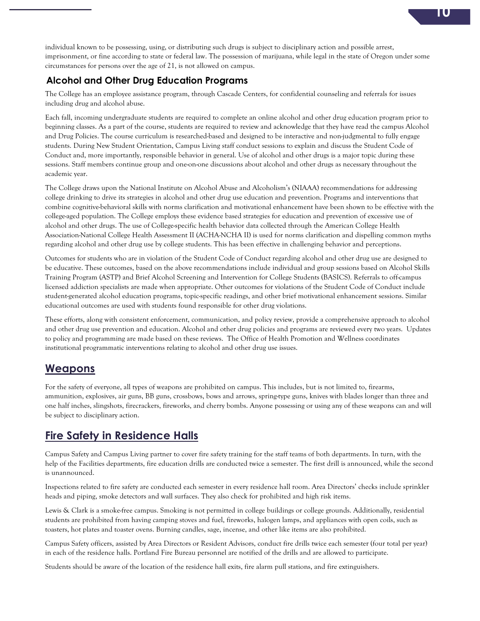individual known to be possessing, using, or distributing such drugs is subject to disciplinary action and possible arrest, imprisonment, or fine according to state or federal law. The possession of marijuana, while legal in the state of Oregon under some circumstances for persons over the age of 21, is not allowed on campus.

#### **Alcohol and Other Drug Education Programs**

The College has an employee assistance program, through Cascade Centers, for confidential counseling and referrals for issues including drug and alcohol abuse.

Each fall, incoming undergraduate students are required to complete an online alcohol and other drug education program prior to beginning classes. As a part of the course, students are required to review and acknowledge that they have read the campus Alcohol and Drug Policies. The course curriculum is researched-based and designed to be interactive and non-judgmental to fully engage students. During New Student Orientation, Campus Living staff conduct sessions to explain and discuss the Student Code of Conduct and, more importantly, responsible behavior in general. Use of alcohol and other drugs is a major topic during these sessions. Staff members continue group and one-on-one discussions about alcohol and other drugs as necessary throughout the academic year.

The College draws upon the National Institute on Alcohol Abuse and Alcoholism's (NIAAA) recommendations for addressing college drinking to drive its strategies in alcohol and other drug use education and prevention. Programs and interventions that combine cognitive-behavioral skills with norms clarification and motivational enhancement have been shown to be effective with the college-aged population. The College employs these evidence based strategies for education and prevention of excessive use of alcohol and other drugs. The use of College-specific health behavior data collected through the American College Health Association-National College Health Assessment II (ACHA-NCHA II) is used for norms clarification and dispelling common myths regarding alcohol and other drug use by college students. This has been effective in challenging behavior and perceptions.

Outcomes for students who are in violation of the Student Code of Conduct regarding alcohol and other drug use are designed to be educative. These outcomes, based on the above recommendations include individual and group sessions based on Alcohol Skills Training Program (ASTP) and Brief Alcohol Screening and Intervention for College Students (BASICS). Referrals to off-campus licensed addiction specialists are made when appropriate. Other outcomes for violations of the Student Code of Conduct include student-generated alcohol education programs, topic-specific readings, and other brief motivational enhancement sessions. Similar educational outcomes are used with students found responsible for other drug violations.

These efforts, along with consistent enforcement, communication, and policy review, provide a comprehensive approach to alcohol and other drug use prevention and education. Alcohol and other drug policies and programs are reviewed every two years. Updates to policy and programming are made based on these reviews. The Office of Health Promotion and Wellness coordinates institutional programmatic interventions relating to alcohol and other drug use issues.

#### **Weapons**

For the safety of everyone, all types of weapons are prohibited on campus. This includes, but is not limited to, firearms, ammunition, explosives, air guns, BB guns, crossbows, bows and arrows, spring-type guns, knives with blades longer than three and one half inches, slingshots, firecrackers, fireworks, and cherry bombs. Anyone possessing or using any of these weapons can and will be subject to disciplinary action.

# **Fire Safety in Residence Halls**

Campus Safety and Campus Living partner to cover fire safety training for the staff teams of both departments. In turn, with the help of the Facilities departments, fire education drills are conducted twice a semester. The first drill is announced, while the second is unannounced.

Inspections related to fire safety are conducted each semester in every residence hall room. Area Directors' checks include sprinkler heads and piping, smoke detectors and wall surfaces. They also check for prohibited and high risk items.

Lewis & Clark is a smoke-free campus. Smoking is not permitted in college buildings or college grounds. Additionally, residential students are prohibited from having camping stoves and fuel, fireworks, halogen lamps, and appliances with open coils, such as toasters, hot plates and toaster ovens. Burning candles, sage, incense, and other like items are also prohibited.

Campus Safety officers, assisted by Area Directors or Resident Advisors, conduct fire drills twice each semester (four total per year) in each of the residence halls. Portland Fire Bureau personnel are notified of the drills and are allowed to participate.

Students should be aware of the location of the residence hall exits, fire alarm pull stations, and fire extinguishers.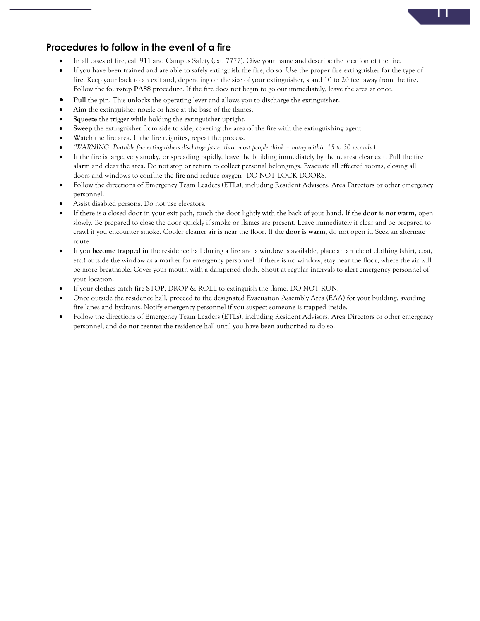

#### **Procedures to follow in the event of a fire**

- In all cases of fire, call 911 and Campus Safety (ext. 7777). Give your name and describe the location of the fire.
- If you have been trained and are able to safely extinguish the fire, do so. Use the proper fire extinguisher for the type of fire. Keep your back to an exit and, depending on the size of your extinguisher, stand 10 to 20 feet away from the fire. Follow the four-step **PASS** procedure. If the fire does not begin to go out immediately, leave the area at once.
- **Pull** the pin. This unlocks the operating lever and allows you to discharge the extinguisher.
- Aim the extinguisher nozzle or hose at the base of the flames.
- **Squeeze** the trigger while holding the extinguisher upright.
- **Sweep** the extinguisher from side to side, covering the area of the fire with the extinguishing agent.
- Watch the fire area. If the fire reignites, repeat the process.
- *(WARNING: Portable fire extinguishers discharge faster than most people think – many within 15 to 30 seconds.)*
- If the fire is large, very smoky, or spreading rapidly, leave the building immediately by the nearest clear exit. Pull the fire alarm and clear the area. Do not stop or return to collect personal belongings. Evacuate all effected rooms, closing all doors and windows to confine the fire and reduce oxygen—DO NOT LOCK DOORS.
- Follow the directions of Emergency Team Leaders (ETLs), including Resident Advisors, Area Directors or other emergency personnel.
- Assist disabled persons. Do not use elevators.
- If there is a closed door in your exit path, touch the door lightly with the back of your hand. If the **door is not warm**, open slowly. Be prepared to close the door quickly if smoke or flames are present. Leave immediately if clear and be prepared to crawl if you encounter smoke. Cooler cleaner air is near the floor. If the **door is warm**, do not open it. Seek an alternate route.
- If you **become trapped** in the residence hall during a fire and a window is available, place an article of clothing (shirt, coat, etc.) outside the window as a marker for emergency personnel. If there is no window, stay near the floor, where the air will be more breathable. Cover your mouth with a dampened cloth. Shout at regular intervals to alert emergency personnel of your location.
- If your clothes catch fire STOP, DROP & ROLL to extinguish the flame. DO NOT RUN!
- Once outside the residence hall, proceed to the designated Evacuation Assembly Area (EAA) for your building, avoiding fire lanes and hydrants. Notify emergency personnel if you suspect someone is trapped inside.
- Follow the directions of Emergency Team Leaders (ETLs), including Resident Advisors, Area Directors or other emergency personnel, and **do not** reenter the residence hall until you have been authorized to do so.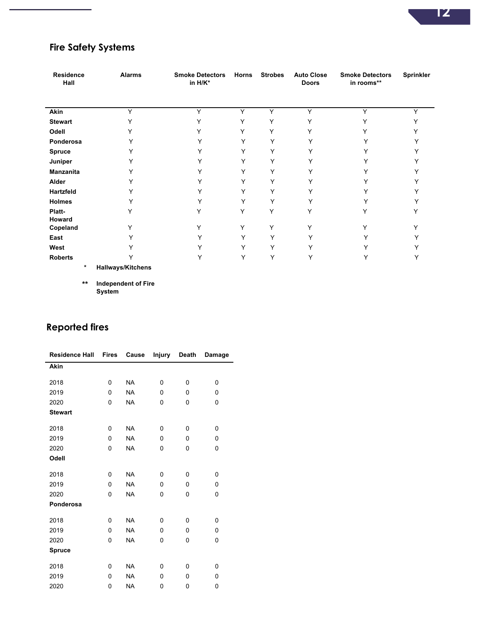# **Fire Safety Systems**

L.

| <b>Residence</b><br>Hall | <b>Alarms</b>            | <b>Smoke Detectors</b><br>in H/K* | <b>Horns</b> | <b>Strobes</b> | <b>Auto Close</b><br><b>Doors</b> | <b>Smoke Detectors</b><br>in rooms** | Sprinkler    |
|--------------------------|--------------------------|-----------------------------------|--------------|----------------|-----------------------------------|--------------------------------------|--------------|
| Akin                     | Y                        | Y                                 | $\checkmark$ | Υ              | Υ                                 | Y                                    | $\checkmark$ |
| <b>Stewart</b>           | Υ                        | Y                                 | Υ            | Y              | Y                                 |                                      |              |
| Odell                    | Υ                        | Υ                                 | Υ            | Y              | Y                                 |                                      |              |
| Ponderosa                | Υ                        | ٧                                 | Y            | Y              | $\check{ }$                       | v                                    |              |
| <b>Spruce</b>            | Y                        |                                   | Y            | Υ              |                                   |                                      |              |
| Juniper                  |                          |                                   | v            | Υ              |                                   |                                      |              |
| <b>Manzanita</b>         |                          |                                   | Υ            | Υ              | v                                 |                                      |              |
| Alder                    |                          | v                                 | Υ            | Υ              |                                   |                                      |              |
| Hartzfeld                | $\checkmark$             | ٧                                 | Y            | Υ              |                                   |                                      |              |
| <b>Holmes</b>            | Y                        | Υ                                 | Y            | Y              | Υ                                 | Y                                    |              |
| Platt-<br>Howard         | Υ                        | Υ                                 | Υ            | Υ              | Y                                 | Y                                    |              |
| Copeland                 | Υ                        | Υ                                 | Y            | Υ              | Υ                                 | Y                                    |              |
| East                     | v                        | Y                                 | Υ            | Υ              | ٧                                 | Y                                    |              |
| West                     |                          |                                   | Y            | Υ              |                                   |                                      |              |
| <b>Roberts</b>           |                          | Υ                                 | Y            | Y              | Υ                                 | Υ                                    |              |
| $\ast$                   | <b>Hallways/Kitchens</b> |                                   |              |                |                                   |                                      |              |

**\*\* Independent of Fire System**

# **Reported fires**

| <b>Residence Hall</b> | <b>Fires</b> | Cause     | Injury       | Death | Damage       |
|-----------------------|--------------|-----------|--------------|-------|--------------|
| Akin                  |              |           |              |       |              |
| 2018                  | 0            | <b>NA</b> | 0            | 0     | $\Omega$     |
| 2019                  | 0            | <b>NA</b> | $\mathbf{0}$ | 0     | 0            |
| 2020                  | 0            | <b>NA</b> | 0            | 0     | 0            |
| <b>Stewart</b>        |              |           |              |       |              |
| 2018                  | 0            | <b>NA</b> | 0            | 0     | $\mathbf{0}$ |
| 2019                  | 0            | <b>NA</b> | 0            | 0     | $\mathbf{0}$ |
| 2020                  | 0            | <b>NA</b> | 0            | 0     | 0            |
| Odell                 |              |           |              |       |              |
| 2018                  | 0            | <b>NA</b> | 0            | 0     | 0            |
| 2019                  | 0            | <b>NA</b> | 0            | 0     | 0            |
| 2020                  | 0            | <b>NA</b> | 0            | 0     | 0            |
| Ponderosa             |              |           |              |       |              |
| 2018                  | 0            | <b>NA</b> | 0            | 0     | 0            |
| 2019                  | 0            | <b>NA</b> | 0            | 0     | $\Omega$     |
| 2020                  | 0            | <b>NA</b> | 0            | 0     | 0            |
| Spruce                |              |           |              |       |              |
| 2018                  | 0            | <b>NA</b> | 0            | 0     | 0            |
| 2019                  | 0            | <b>NA</b> | 0            | 0     | 0            |
| 2020                  | 0            | <b>NA</b> | 0            | 0     | 0            |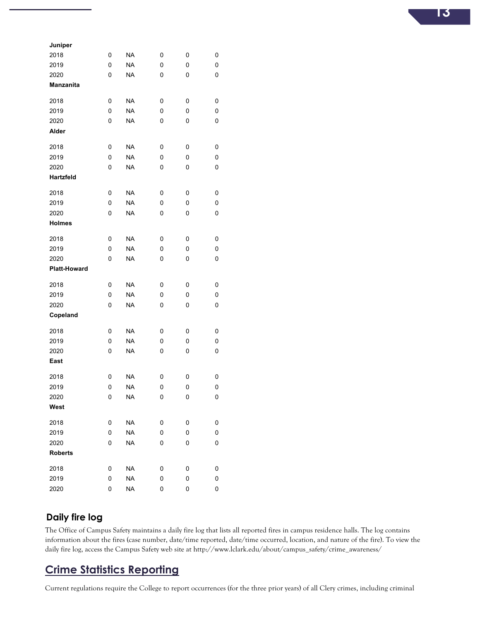| Juniper             |   |           |   |   |   |
|---------------------|---|-----------|---|---|---|
| 2018                | 0 | <b>NA</b> | 0 | 0 | 0 |
| 2019                | 0 | <b>NA</b> | 0 | 0 | 0 |
| 2020                | 0 | <b>NA</b> | 0 | 0 | 0 |
| <b>Manzanita</b>    |   |           |   |   |   |
| 2018                | 0 | <b>NA</b> | 0 | 0 | 0 |
| 2019                | 0 | <b>NA</b> | 0 | 0 | 0 |
| 2020                | 0 | <b>NA</b> | 0 | 0 | 0 |
| Alder               |   |           |   |   |   |
| 2018                | 0 | <b>NA</b> | 0 | 0 | 0 |
| 2019                | 0 | <b>NA</b> | 0 | 0 | 0 |
| 2020                | 0 | <b>NA</b> | 0 | 0 | 0 |
| Hartzfeld           |   |           |   |   |   |
| 2018                | 0 | <b>NA</b> | 0 | 0 | 0 |
| 2019                | 0 | <b>NA</b> | 0 | 0 | 0 |
| 2020                | 0 | <b>NA</b> | 0 | 0 | 0 |
| <b>Holmes</b>       |   |           |   |   |   |
| 2018                | 0 | <b>NA</b> | 0 | 0 | 0 |
| 2019                | 0 | <b>NA</b> | 0 | 0 | 0 |
| 2020                | 0 | <b>NA</b> | 0 | 0 | 0 |
| <b>Platt-Howard</b> |   |           |   |   |   |
| 2018                | 0 | NA        | 0 | 0 | 0 |
| 2019                | 0 | <b>NA</b> | 0 | 0 | 0 |
| 2020                | 0 | <b>NA</b> | 0 | 0 | 0 |
| Copeland            |   |           |   |   |   |
| 2018                | 0 | <b>NA</b> | 0 | 0 | 0 |
| 2019                | 0 | <b>NA</b> | 0 | 0 | 0 |
| 2020                | 0 | <b>NA</b> | 0 | 0 | 0 |
| East                |   |           |   |   |   |
| 2018                | 0 | NA        | 0 | 0 | 0 |
| 2019                | 0 | <b>NA</b> | 0 | 0 | 0 |
| 2020                | 0 | ΝA        | 0 | 0 | 0 |
| West                |   |           |   |   |   |
| 2018                | 0 | <b>NA</b> | 0 | 0 | 0 |
| 2019                | 0 | <b>NA</b> | 0 | 0 | 0 |
| 2020                | 0 | <b>NA</b> | 0 | 0 | 0 |
| <b>Roberts</b>      |   |           |   |   |   |
| 2018                | 0 | <b>NA</b> | 0 | 0 | 0 |
| 2019                | 0 | <b>NA</b> | 0 | 0 | 0 |
| 2020                | 0 | <b>NA</b> | 0 | 0 | 0 |

#### **Daily fire log**

The Office of Campus Safety maintains a daily fire log that lists all reported fires in campus residence halls. The log contains information about the fires (case number, date/time reported, date/time occurred, location, and nature of the fire). To view the daily fire log, access the Campus Safety web site at http://www.lclark.edu/about/campus\_safety/crime\_awareness/

# **Crime Statistics Reporting**

Current regulations require the College to report occurrences (for the three prior years) of all Clery crimes, including criminal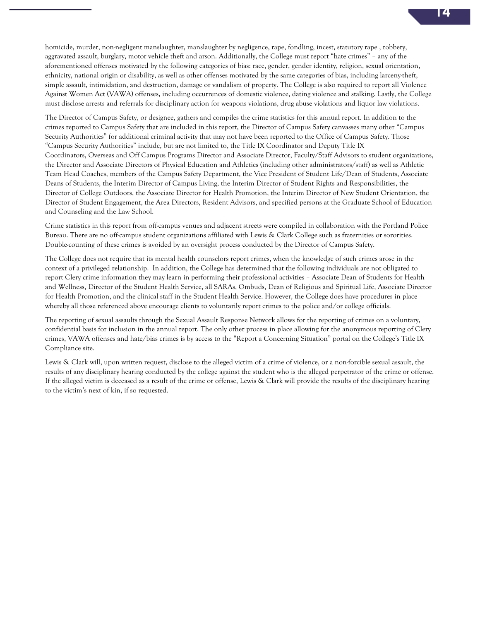homicide, murder, non-negligent manslaughter, manslaughter by negligence, rape, fondling, incest, statutory rape , robbery, aggravated assault, burglary, motor vehicle theft and arson. Additionally, the College must report "hate crimes" – any of the aforementioned offenses motivated by the following categories of bias: race, gender, gender identity, religion, sexual orientation, ethnicity, national origin or disability, as well as other offenses motivated by the same categories of bias, including larceny-theft, simple assault, intimidation, and destruction, damage or vandalism of property. The College is also required to report all Violence Against Women Act (VAWA) offenses, including occurrences of domestic violence, dating violence and stalking. Lastly, the College must disclose arrests and referrals for disciplinary action for weapons violations, drug abuse violations and liquor law violations.

The Director of Campus Safety, or designee, gathers and compiles the crime statistics for this annual report. In addition to the crimes reported to Campus Safety that are included in this report, the Director of Campus Safety canvasses many other "Campus Security Authorities" for additional criminal activity that may not have been reported to the Office of Campus Safety. Those "Campus Security Authorities" include, but are not limited to, the Title IX Coordinator and Deputy Title IX Coordinators, Overseas and Off Campus Programs Director and Associate Director, Faculty/Staff Advisors to student organizations, the Director and Associate Directors of Physical Education and Athletics (including other administrators/staff) as well as Athletic Team Head Coaches, members of the Campus Safety Department, the Vice President of Student Life/Dean of Students, Associate Deans of Students, the Interim Director of Campus Living, the Interim Director of Student Rights and Responsibilities, the Director of College Outdoors, the Associate Director for Health Promotion, the Interim Director of New Student Orientation, the Director of Student Engagement, the Area Directors, Resident Advisors, and specified persons at the Graduate School of Education and Counseling and the Law School.

Crime statistics in this report from off-campus venues and adjacent streets were compiled in collaboration with the Portland Police Bureau. There are no off-campus student organizations affiliated with Lewis & Clark College such as fraternities or sororities. Double-counting of these crimes is avoided by an oversight process conducted by the Director of Campus Safety.

The College does not require that its mental health counselors report crimes, when the knowledge of such crimes arose in the context of a privileged relationship. In addition, the College has determined that the following individuals are not obligated to report Clery crime information they may learn in performing their professional activities – Associate Dean of Students for Health and Wellness, Director of the Student Health Service, all SARAs, Ombuds, Dean of Religious and Spiritual Life, Associate Director for Health Promotion, and the clinical staff in the Student Health Service. However, the College does have procedures in place whereby all those referenced above encourage clients to voluntarily report crimes to the police and/or college officials.

The reporting of sexual assaults through the Sexual Assault Response Network allows for the reporting of crimes on a voluntary, confidential basis for inclusion in the annual report. The only other process in place allowing for the anonymous reporting of Clery crimes, VAWA offenses and hate/bias crimes is by access to the "Report a Concerning Situation" portal on the College's Title IX Compliance site.

Lewis & Clark will, upon written request, disclose to the alleged victim of a crime of violence, or a non-forcible sexual assault, the results of any disciplinary hearing conducted by the college against the student who is the alleged perpetrator of the crime or offense. If the alleged victim is deceased as a result of the crime or offense, Lewis & Clark will provide the results of the disciplinary hearing to the victim's next of kin, if so requested.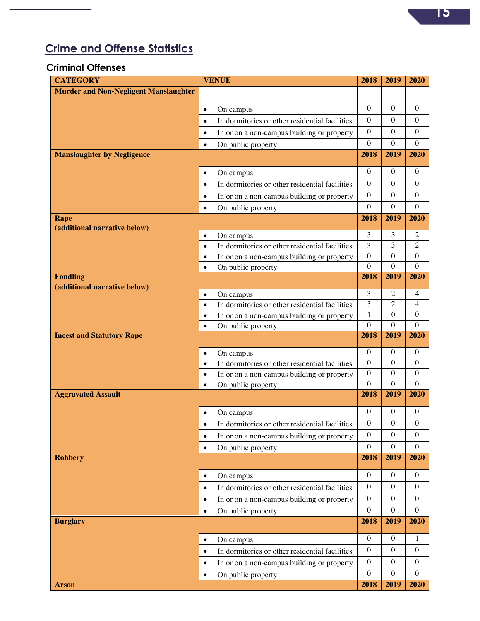

# **Crime and Offense Statistics**

#### **Criminal Offenses**

| <b>CATEGORY</b>                              | <b>VENUE</b>                                                                                              | 2018             | 2019             | 2020             |
|----------------------------------------------|-----------------------------------------------------------------------------------------------------------|------------------|------------------|------------------|
| <b>Murder and Non-Negligent Manslaughter</b> |                                                                                                           |                  |                  |                  |
|                                              | On campus<br>$\bullet$                                                                                    | $\theta$         | $\theta$         | $\theta$         |
|                                              | In dormitories or other residential facilities<br>$\bullet$                                               | $\mathbf{0}$     | $\overline{0}$   | $\mathbf{0}$     |
|                                              | In or on a non-campus building or property<br>$\bullet$                                                   | $\boldsymbol{0}$ | $\theta$         | $\mathbf{0}$     |
|                                              | On public property<br>$\bullet$                                                                           | $\boldsymbol{0}$ | $\boldsymbol{0}$ | $\theta$         |
| <b>Manslaughter by Negligence</b>            |                                                                                                           | 2018             | 2019             | 2020             |
|                                              | On campus<br>$\bullet$                                                                                    | $\mathbf{0}$     | $\overline{0}$   | $\mathbf{0}$     |
|                                              | In dormitories or other residential facilities<br>$\bullet$                                               | $\mathbf{0}$     | $\theta$         | $\mathbf{0}$     |
|                                              | In or on a non-campus building or property<br>$\bullet$                                                   | $\boldsymbol{0}$ | $\overline{0}$   | $\mathbf{0}$     |
|                                              | On public property<br>$\bullet$                                                                           | $\boldsymbol{0}$ | $\boldsymbol{0}$ | $\mathbf{0}$     |
| Rape                                         |                                                                                                           | 2018             | 2019             | 2020             |
| (additional narrative below)                 |                                                                                                           | 3                | 3                | 2                |
|                                              | On campus<br>$\bullet$<br>In dormitories or other residential facilities<br>$\bullet$                     | 3                | 3                | $\overline{2}$   |
|                                              | In or on a non-campus building or property<br>$\bullet$                                                   | $\boldsymbol{0}$ | $\mathbf{0}$     | $\boldsymbol{0}$ |
|                                              | On public property<br>$\bullet$                                                                           | $\overline{0}$   | $\boldsymbol{0}$ | $\theta$         |
| <b>Fondling</b>                              |                                                                                                           | 2018             | 2019             | 2020             |
| (additional narrative below)                 | On campus<br>$\bullet$                                                                                    | 3                | 2                | 4                |
|                                              | In dormitories or other residential facilities<br>$\bullet$                                               | $\overline{3}$   | $\overline{2}$   | 4                |
|                                              | In or on a non-campus building or property<br>$\bullet$                                                   | $\mathbf{1}$     | $\boldsymbol{0}$ | $\mathbf{0}$     |
|                                              | On public property<br>$\bullet$                                                                           | $\overline{0}$   | $\theta$         | $\Omega$         |
| <b>Incest and Statutory Rape</b>             |                                                                                                           | 2018             | 2019             | 2020             |
|                                              |                                                                                                           |                  |                  |                  |
|                                              | $\bullet$                                                                                                 | $\boldsymbol{0}$ | $\theta$         | $\mathbf{0}$     |
|                                              | On campus<br>In dormitories or other residential facilities<br>$\bullet$                                  | $\boldsymbol{0}$ | $\overline{0}$   | $\Omega$         |
|                                              | In or on a non-campus building or property<br>$\bullet$                                                   | $\boldsymbol{0}$ | $\mathbf{0}$     | $\mathbf{0}$     |
|                                              | On public property<br>$\bullet$                                                                           | $\boldsymbol{0}$ | $\boldsymbol{0}$ | $\overline{0}$   |
| <b>Aggravated Assault</b>                    |                                                                                                           | 2018             | 2019             | 2020             |
|                                              | On campus<br>$\bullet$                                                                                    | $\boldsymbol{0}$ | $\boldsymbol{0}$ | $\boldsymbol{0}$ |
|                                              | In dormitories or other residential facilities<br>$\bullet$                                               | $\boldsymbol{0}$ | $\boldsymbol{0}$ | $\boldsymbol{0}$ |
|                                              | In or on a non-campus building or property<br>$\bullet$                                                   | $\boldsymbol{0}$ | $\boldsymbol{0}$ | $\boldsymbol{0}$ |
|                                              | On public property<br>$\bullet$                                                                           | $\boldsymbol{0}$ | $\overline{0}$   | $\overline{0}$   |
| <b>Robbery</b>                               |                                                                                                           | 2018             | 2019             | 2020             |
|                                              | $\bullet$                                                                                                 | $\boldsymbol{0}$ | $\mathbf{0}$     | $\boldsymbol{0}$ |
|                                              | On campus<br>$\bullet$                                                                                    | $\boldsymbol{0}$ | $\boldsymbol{0}$ | $\overline{0}$   |
|                                              | In dormitories or other residential facilities<br>In or on a non-campus building or property<br>$\bullet$ | $\boldsymbol{0}$ | $\boldsymbol{0}$ | $\boldsymbol{0}$ |
|                                              | On public property<br>$\bullet$                                                                           | $\boldsymbol{0}$ | $\boldsymbol{0}$ | $\boldsymbol{0}$ |
| <b>Burglary</b>                              |                                                                                                           | 2018             | 2019             | 2020             |
|                                              | $\bullet$                                                                                                 | $\boldsymbol{0}$ | $\boldsymbol{0}$ | $\mathbf{1}$     |
|                                              | On campus<br>$\bullet$                                                                                    | $\boldsymbol{0}$ | $\boldsymbol{0}$ | $\boldsymbol{0}$ |
|                                              | In dormitories or other residential facilities<br>$\bullet$                                               | $\boldsymbol{0}$ | $\boldsymbol{0}$ | $\overline{0}$   |
|                                              | In or on a non-campus building or property<br>On public property<br>$\bullet$                             | $\boldsymbol{0}$ | $\boldsymbol{0}$ | $\boldsymbol{0}$ |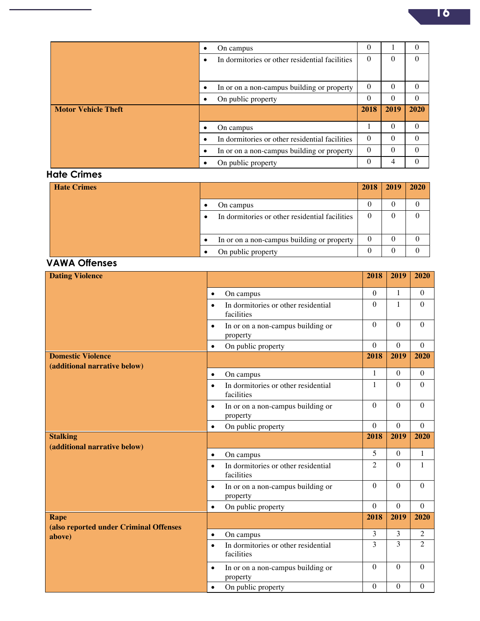|                            | ٠ | On campus                                      | $\Omega$ |          | $\Omega$ |
|----------------------------|---|------------------------------------------------|----------|----------|----------|
|                            |   | In dormitories or other residential facilities | $\Omega$ | $\theta$ | $\Omega$ |
|                            |   |                                                |          |          |          |
|                            |   | In or on a non-campus building or property     | $\Omega$ | $\theta$ | $\Omega$ |
|                            |   | On public property                             | $\Omega$ | $\theta$ | $\Omega$ |
|                            |   |                                                |          |          |          |
| <b>Motor Vehicle Theft</b> |   |                                                | 2018     | 2019     | 2020     |
|                            |   |                                                |          |          |          |
|                            |   | On campus                                      |          | $\theta$ | $\Omega$ |
|                            |   | In dormitories or other residential facilities | $\Omega$ | $\theta$ | $\Omega$ |
|                            |   | In or on a non-campus building or property     | $\Omega$ | $\theta$ | $\Omega$ |

### **Hate Crimes**

| <b>Hate Crimes</b> |                                                | 2018 | <b>2019</b> | 2020 |
|--------------------|------------------------------------------------|------|-------------|------|
|                    | On campus                                      |      |             |      |
|                    | In dormitories or other residential facilities |      |             |      |
|                    |                                                |      |             |      |
|                    | In or on a non-campus building or property     |      |             |      |
|                    | On public property                             |      |             |      |

#### **VAWA Offenses**

| <b>Dating Violence</b>                                                                   |                                                                | 2018                           | 2019                     | 2020             |
|------------------------------------------------------------------------------------------|----------------------------------------------------------------|--------------------------------|--------------------------|------------------|
|                                                                                          | On campus<br>$\bullet$                                         | $\boldsymbol{0}$               | $\mathbf{1}$             | $\boldsymbol{0}$ |
|                                                                                          | In dormitories or other residential<br>$\bullet$<br>facilities | $\boldsymbol{0}$               | $\mathbf{1}$             | $\boldsymbol{0}$ |
|                                                                                          | In or on a non-campus building or<br>$\bullet$<br>property     | $\mathbf{0}$                   | $\mathbf{0}$             | $\overline{0}$   |
|                                                                                          | On public property<br>$\bullet$                                | $\mathbf{0}$                   | $\Omega$                 | $\overline{0}$   |
|                                                                                          |                                                                | 2018                           | 2019                     | 2020             |
|                                                                                          | On campus<br>$\bullet$                                         | $\mathbf{1}$                   | $\theta$                 | $\theta$         |
|                                                                                          | In dormitories or other residential<br>$\bullet$<br>facilities | $\mathbf{1}$                   | $\mathbf{0}$             | $\theta$         |
|                                                                                          | In or on a non-campus building or<br>$\bullet$<br>property     | $\mathbf{0}$                   | $\mathbf{0}$             | $\theta$         |
|                                                                                          | On public property<br>$\bullet$                                | $\mathbf{0}$                   | $\Omega$                 | $\theta$         |
| <b>Stalking</b>                                                                          |                                                                | 2018                           | 2019                     | 2020             |
|                                                                                          |                                                                |                                |                          |                  |
|                                                                                          | On campus<br>$\bullet$                                         | 5                              | $\boldsymbol{0}$         | $\mathbf{1}$     |
|                                                                                          | In dormitories or other residential<br>$\bullet$<br>facilities | $\overline{2}$                 | $\overline{0}$           | $\mathbf{1}$     |
|                                                                                          | In or on a non-campus building or<br>$\bullet$<br>property     | $\mathbf{0}$                   | $\overline{0}$           | $\overline{0}$   |
|                                                                                          | On public property<br>$\bullet$                                | $\boldsymbol{0}$               | $\mathbf{0}$             | $\mathbf{0}$     |
| <b>Rape</b>                                                                              |                                                                | 2018                           | 2019                     | 2020             |
| <b>Domestic Violence</b><br>(additional narrative below)<br>(additional narrative below) | On campus<br>$\bullet$                                         | 3                              | $\overline{3}$           | $\overline{2}$   |
| (also reported under Criminal Offenses<br>above)                                         | In dormitories or other residential<br>$\bullet$<br>facilities | $\overline{3}$                 | 3                        | $\overline{2}$   |
|                                                                                          | In or on a non-campus building or<br>$\bullet$<br>property     | $\mathbf{0}$<br>$\overline{0}$ | $\theta$<br>$\mathbf{0}$ | $\theta$         |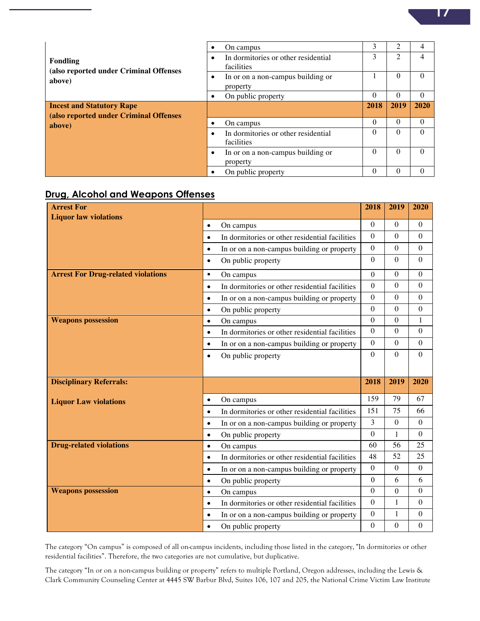|                                                  |           | On campus                                         | 3        | 2        | 4        |
|--------------------------------------------------|-----------|---------------------------------------------------|----------|----------|----------|
| Fondling                                         | ٠         | In dormitories or other residential<br>facilities | 3        | 2        |          |
| (also reported under Criminal Offenses<br>above) |           | In or on a non-campus building or<br>property     |          | $\theta$ | $\Omega$ |
|                                                  | ٠         | On public property                                | $\theta$ | $\theta$ | $\Omega$ |
| <b>Incest and Statutory Rape</b>                 |           |                                                   | 2018     | 2019     | 2020     |
| (also reported under Criminal Offenses           |           |                                                   |          |          |          |
| above)                                           |           | On campus                                         | $\Omega$ | $\Omega$ | $\Omega$ |
|                                                  | $\bullet$ | In dormitories or other residential<br>facilities | $\Omega$ | $\theta$ | $\Omega$ |
|                                                  |           | In or on a non-campus building or<br>property     | $\Omega$ | $\Omega$ | $\Omega$ |
|                                                  |           | On public property                                | 0        | $\Omega$ | $\Omega$ |

#### **Drug, Alcohol and Weapons Offenses**

| <b>Arrest For</b>                         |                                                             | 2018             | 2019             | 2020             |
|-------------------------------------------|-------------------------------------------------------------|------------------|------------------|------------------|
| <b>Liquor law violations</b>              |                                                             | $\Omega$         | $\mathbf{0}$     | $\Omega$         |
|                                           | On campus<br>$\bullet$                                      | $\boldsymbol{0}$ | $\mathbf{0}$     | $\mathbf{0}$     |
|                                           | In dormitories or other residential facilities<br>$\bullet$ |                  | $\mathbf{0}$     | $\mathbf{0}$     |
|                                           | In or on a non-campus building or property<br>$\bullet$     | $\boldsymbol{0}$ |                  |                  |
|                                           | On public property<br>$\bullet$                             | $\Omega$         | $\Omega$         | $\mathbf{0}$     |
| <b>Arrest For Drug-related violations</b> | On campus<br>٠                                              | $\theta$         | $\boldsymbol{0}$ | $\boldsymbol{0}$ |
|                                           | In dormitories or other residential facilities<br>$\bullet$ | $\theta$         | $\mathbf{0}$     | $\theta$         |
|                                           | In or on a non-campus building or property<br>$\bullet$     | $\theta$         | $\theta$         | $\theta$         |
|                                           | On public property<br>$\bullet$                             | $\mathbf{0}$     | $\mathbf{0}$     | $\mathbf{0}$     |
| <b>Weapons possession</b>                 | On campus<br>$\bullet$                                      | $\mathbf{0}$     | $\theta$         | $\mathbf{1}$     |
|                                           | In dormitories or other residential facilities<br>$\bullet$ | $\mathbf{0}$     | $\overline{0}$   | $\boldsymbol{0}$ |
|                                           | In or on a non-campus building or property<br>$\bullet$     | $\boldsymbol{0}$ | $\boldsymbol{0}$ | $\boldsymbol{0}$ |
|                                           | On public property<br>$\bullet$                             | $\Omega$         | $\mathbf{0}$     | $\theta$         |
|                                           |                                                             |                  |                  |                  |
|                                           |                                                             |                  |                  |                  |
|                                           |                                                             |                  |                  |                  |
| <b>Disciplinary Referrals:</b>            |                                                             | 2018             | 2019             | 2020             |
|                                           | On campus<br>$\bullet$                                      | 159              | 79               | 67               |
| <b>Liquor Law violations</b>              | In dormitories or other residential facilities<br>$\bullet$ | 151              | 75               | 66               |
|                                           | In or on a non-campus building or property<br>$\bullet$     | $\overline{3}$   | $\mathbf{0}$     | $\theta$         |
|                                           | On public property<br>$\bullet$                             | $\mathbf{0}$     | $\mathbf{1}$     | $\mathbf{0}$     |
| <b>Drug-related violations</b>            | On campus<br>$\bullet$                                      | 60               | 56               | 25               |
|                                           | In dormitories or other residential facilities<br>$\bullet$ | 48               | 52               | 25               |
|                                           | In or on a non-campus building or property<br>$\bullet$     | $\boldsymbol{0}$ | $\overline{0}$   | $\mathbf{0}$     |
|                                           | On public property<br>$\bullet$                             | $\theta$         | 6                | 6                |
| <b>Weapons possession</b>                 | On campus<br>$\bullet$                                      | $\overline{0}$   | $\boldsymbol{0}$ | $\boldsymbol{0}$ |
|                                           | In dormitories or other residential facilities<br>$\bullet$ | $\mathbf{0}$     | 1                | $\mathbf{0}$     |
|                                           | In or on a non-campus building or property<br>$\bullet$     | $\boldsymbol{0}$ | 1                | $\boldsymbol{0}$ |

The category "On campus" is composed of all on-campus incidents, including those listed in the category, "In dormitories or other residential facilities". Therefore, the two categories are not cumulative, but duplicative.

The category "In or on a non-campus building or property" refers to multiple Portland, Oregon addresses, including the Lewis & Clark Community Counseling Center at 4445 SW Barbur Blvd, Suites 106, 107 and 205, the National Crime Victim Law Institute